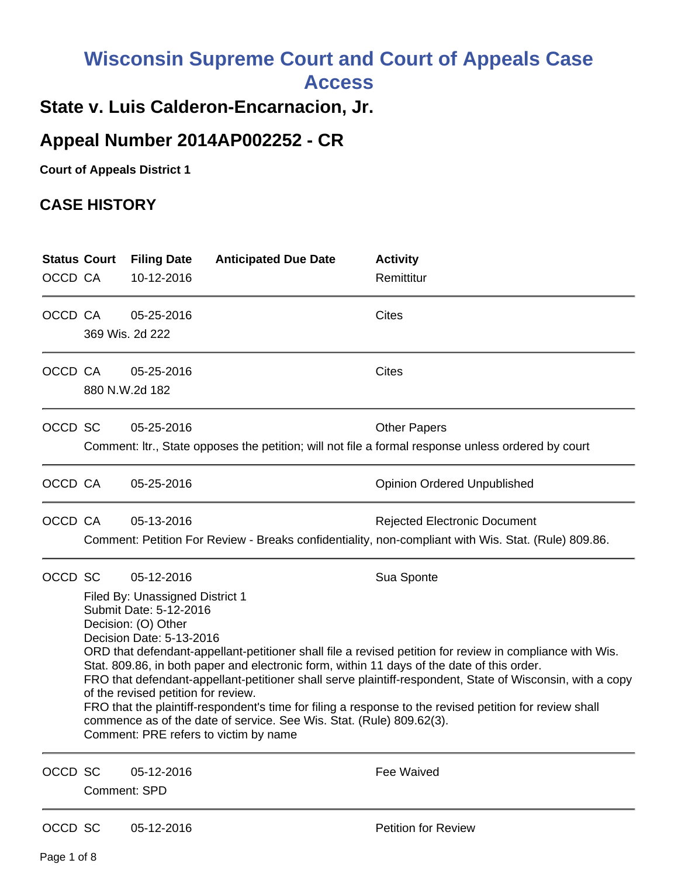# **Wisconsin Supreme Court and Court of Appeals Case Access**

# **State v. Luis Calderon-Encarnacion, Jr.**

# **Appeal Number 2014AP002252 - CR**

**Court of Appeals District 1**

## **CASE HISTORY**

| <b>Status Court</b> |                     | <b>Filing Date</b>                                                                                                                                                                                      | <b>Anticipated Due Date</b>           | <b>Activity</b>                                                                                     |  |  |
|---------------------|---------------------|---------------------------------------------------------------------------------------------------------------------------------------------------------------------------------------------------------|---------------------------------------|-----------------------------------------------------------------------------------------------------|--|--|
| OCCD CA             |                     | 10-12-2016                                                                                                                                                                                              |                                       | Remittitur                                                                                          |  |  |
| OCCD CA             |                     | 05-25-2016                                                                                                                                                                                              |                                       | <b>Cites</b>                                                                                        |  |  |
|                     |                     | 369 Wis. 2d 222                                                                                                                                                                                         |                                       |                                                                                                     |  |  |
| OCCD CA             |                     | 05-25-2016                                                                                                                                                                                              |                                       | <b>Cites</b>                                                                                        |  |  |
|                     |                     | 880 N.W.2d 182                                                                                                                                                                                          |                                       |                                                                                                     |  |  |
| OCCD SC             |                     | 05-25-2016                                                                                                                                                                                              |                                       | <b>Other Papers</b>                                                                                 |  |  |
|                     |                     |                                                                                                                                                                                                         |                                       | Comment: Itr., State opposes the petition; will not file a formal response unless ordered by court  |  |  |
| OCCD CA             |                     | 05-25-2016                                                                                                                                                                                              |                                       | <b>Opinion Ordered Unpublished</b>                                                                  |  |  |
| OCCD CA             |                     | 05-13-2016                                                                                                                                                                                              |                                       | <b>Rejected Electronic Document</b>                                                                 |  |  |
|                     |                     |                                                                                                                                                                                                         |                                       | Comment: Petition For Review - Breaks confidentiality, non-compliant with Wis. Stat. (Rule) 809.86. |  |  |
| OCCD SC             |                     | 05-12-2016                                                                                                                                                                                              |                                       | Sua Sponte                                                                                          |  |  |
|                     |                     | Filed By: Unassigned District 1<br>Submit Date: 5-12-2016                                                                                                                                               |                                       |                                                                                                     |  |  |
|                     |                     | Decision: (O) Other                                                                                                                                                                                     |                                       |                                                                                                     |  |  |
|                     |                     | Decision Date: 5-13-2016<br>ORD that defendant-appellant-petitioner shall file a revised petition for review in compliance with Wis.                                                                    |                                       |                                                                                                     |  |  |
|                     |                     | Stat. 809.86, in both paper and electronic form, within 11 days of the date of this order.<br>FRO that defendant-appellant-petitioner shall serve plaintiff-respondent, State of Wisconsin, with a copy |                                       |                                                                                                     |  |  |
|                     |                     | of the revised petition for review.<br>FRO that the plaintiff-respondent's time for filing a response to the revised petition for review shall                                                          |                                       |                                                                                                     |  |  |
|                     |                     | commence as of the date of service. See Wis. Stat. (Rule) 809.62(3).                                                                                                                                    |                                       |                                                                                                     |  |  |
|                     |                     |                                                                                                                                                                                                         | Comment: PRE refers to victim by name |                                                                                                     |  |  |
| OCCD SC             |                     | 05-12-2016                                                                                                                                                                                              |                                       | Fee Waived                                                                                          |  |  |
|                     | <b>Comment: SPD</b> |                                                                                                                                                                                                         |                                       |                                                                                                     |  |  |
| OCCD SC             |                     | 05-12-2016                                                                                                                                                                                              |                                       | <b>Petition for Review</b>                                                                          |  |  |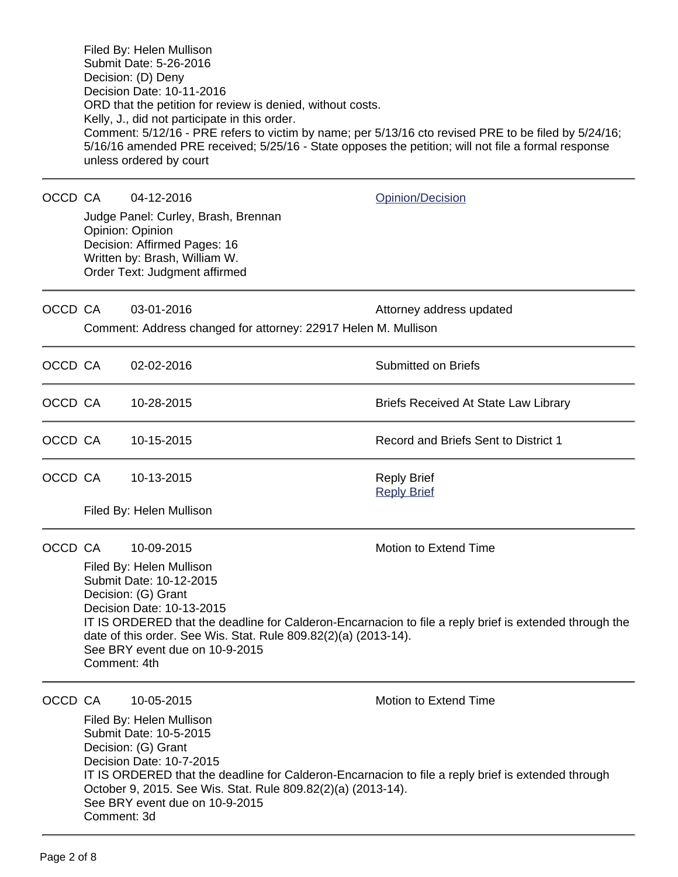Filed By: Helen Mullison Submit Date: 5-26-2016 Decision: (D) Deny Decision Date: 10-11-2016 ORD that the petition for review is denied, without costs. Kelly, J., did not participate in this order. Comment: 5/12/16 - PRE refers to victim by name; per 5/13/16 cto revised PRE to be filed by 5/24/16; 5/16/16 amended PRE received; 5/25/16 - State opposes the petition; will not file a formal response unless ordered by court

OCCD CA 04-12-2016 Quinting Contract Communication

Judge Panel: Curley, Brash, Brennan Opinion: Opinion Decision: Affirmed Pages: 16 Written by: Brash, William W. Order Text: Judgment affirmed

| OCCD CA                                                        |  | $03 - 01 - 2016$ | Attorney address updated |
|----------------------------------------------------------------|--|------------------|--------------------------|
| Comment: Address changed for attorney: 22917 Helen M. Mullison |  |                  |                          |

| OCCD CA | 02-02-2016 | Submitted on Briefs                         |
|---------|------------|---------------------------------------------|
| OCCD CA | 10-28-2015 | <b>Briefs Received At State Law Library</b> |
| OCCD CA | 10-15-2015 | Record and Briefs Sent to District 1        |
| OCCD CA | 10-13-2015 | <b>Reply Brief</b><br><b>Reply Brief</b>    |

Filed By: Helen Mullison

OCCD CA 10-09-2015 Motion to Extend Time

Filed By: Helen Mullison Submit Date: 10-12-2015 Decision: (G) Grant Decision Date: 10-13-2015 IT IS ORDERED that the deadline for Calderon-Encarnacion to file a reply brief is extended through the date of this order. See Wis. Stat. Rule 809.82(2)(a) (2013-14). See BRY event due on 10-9-2015 Comment: 4th

OCCD CA 10-05-2015 Motion to Extend Time

Filed By: Helen Mullison Submit Date: 10-5-2015 Decision: (G) Grant Decision Date: 10-7-2015 IT IS ORDERED that the deadline for Calderon-Encarnacion to file a reply brief is extended through October 9, 2015. See Wis. Stat. Rule 809.82(2)(a) (2013-14). See BRY event due on 10-9-2015 Comment: 3d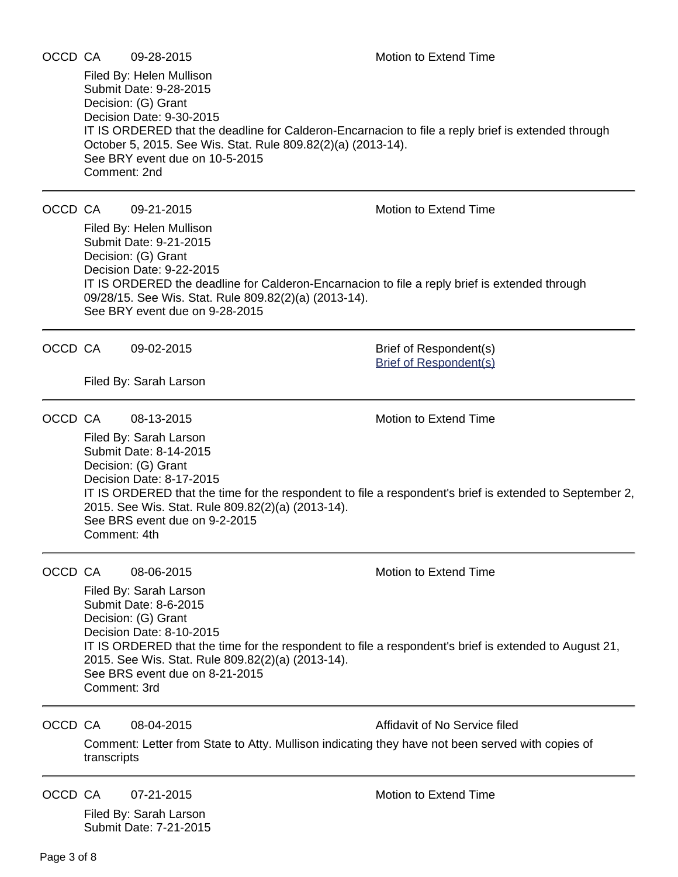Filed By: Helen Mullison Submit Date: 9-28-2015 Decision: (G) Grant Decision Date: 9-30-2015 IT IS ORDERED that the deadline for Calderon-Encarnacion to file a reply brief is extended through October 5, 2015. See Wis. Stat. Rule 809.82(2)(a) (2013-14). See BRY event due on 10-5-2015 Comment: 2nd

## OCCD CA 09-21-2015 Motion to Extend Time

Filed By: Helen Mullison Submit Date: 9-21-2015 Decision: (G) Grant Decision Date: 9-22-2015 IT IS ORDERED the deadline for Calderon-Encarnacion to file a reply brief is extended through 09/28/15. See Wis. Stat. Rule 809.82(2)(a) (2013-14). See BRY event due on 9-28-2015

OCCD CA 09-02-2015 Brief of Respondent(s)

[Brief of Respondent\(s\)](https://acefiling.wicourts.gov/document/eFiled/2014AP002252/148231)

Filed By: Sarah Larson

OCCD CA 08-13-2015 Motion to Extend Time

Filed By: Sarah Larson Submit Date: 8-14-2015 Decision: (G) Grant Decision Date: 8-17-2015 IT IS ORDERED that the time for the respondent to file a respondent's brief is extended to September 2, 2015. See Wis. Stat. Rule 809.82(2)(a) (2013-14). See BRS event due on 9-2-2015 Comment: 4th

OCCD CA 08-06-2015 Motion to Extend Time

Filed By: Sarah Larson Submit Date: 8-6-2015 Decision: (G) Grant Decision Date: 8-10-2015 IT IS ORDERED that the time for the respondent to file a respondent's brief is extended to August 21, 2015. See Wis. Stat. Rule 809.82(2)(a) (2013-14). See BRS event due on 8-21-2015 Comment: 3rd

OCCD CA 08-04-2015 Affidavit of No Service filed

Comment: Letter from State to Atty. Mullison indicating they have not been served with copies of transcripts

OCCD CA 07-21-2015 Motion to Extend Time

Filed By: Sarah Larson Submit Date: 7-21-2015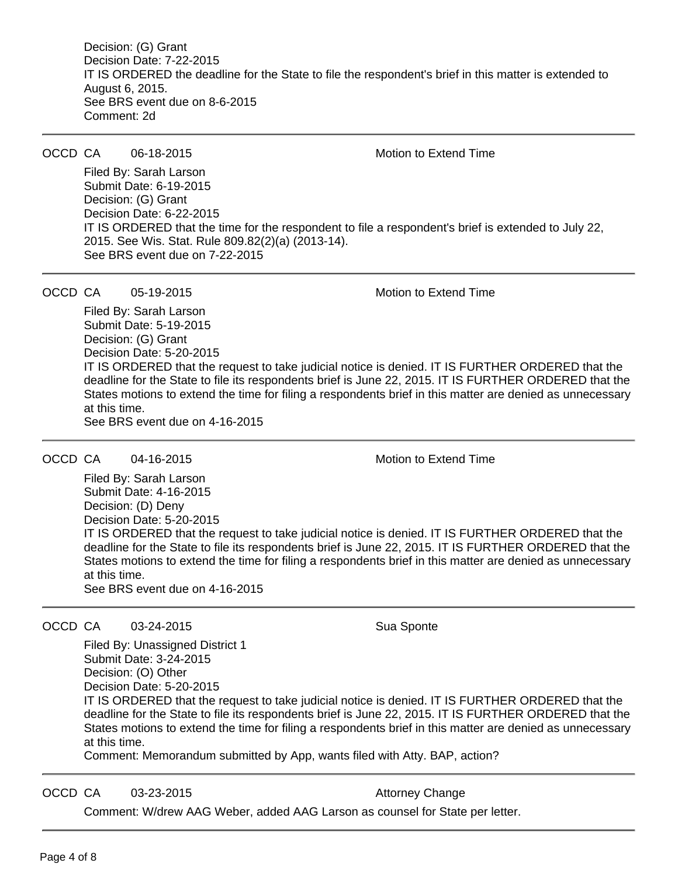Decision: (G) Grant Decision Date: 7-22-2015 IT IS ORDERED the deadline for the State to file the respondent's brief in this matter is extended to August 6, 2015. See BRS event due on 8-6-2015 Comment: 2d

OCCD CA 06-18-2015 Motion to Extend Time

Filed By: Sarah Larson Submit Date: 6-19-2015 Decision: (G) Grant Decision Date: 6-22-2015 IT IS ORDERED that the time for the respondent to file a respondent's brief is extended to July 22, 2015. See Wis. Stat. Rule 809.82(2)(a) (2013-14). See BRS event due on 7-22-2015

OCCD CA 05-19-2015 Motion to Extend Time

Filed By: Sarah Larson Submit Date: 5-19-2015 Decision: (G) Grant Decision Date: 5-20-2015 IT IS ORDERED that the request to take judicial notice is denied. IT IS FURTHER ORDERED that the deadline for the State to file its respondents brief is June 22, 2015. IT IS FURTHER ORDERED that the States motions to extend the time for filing a respondents brief in this matter are denied as unnecessary at this time. See BRS event due on 4-16-2015

OCCD CA 04-16-2015 Motion to Extend Time

Filed By: Sarah Larson Submit Date: 4-16-2015 Decision: (D) Deny Decision Date: 5-20-2015 IT IS ORDERED that the request to take judicial notice is denied. IT IS FURTHER ORDERED that the deadline for the State to file its respondents brief is June 22, 2015. IT IS FURTHER ORDERED that the States motions to extend the time for filing a respondents brief in this matter are denied as unnecessary at this time. See BRS event due on 4-16-2015

OCCD CA 03-24-2015 Sua Sponte

Filed By: Unassigned District 1 Submit Date: 3-24-2015 Decision: (O) Other Decision Date: 5-20-2015

IT IS ORDERED that the request to take judicial notice is denied. IT IS FURTHER ORDERED that the deadline for the State to file its respondents brief is June 22, 2015. IT IS FURTHER ORDERED that the States motions to extend the time for filing a respondents brief in this matter are denied as unnecessary at this time.

Comment: Memorandum submitted by App, wants filed with Atty. BAP, action?

OCCD CA 03-23-2015 Business Attorney Change

Comment: W/drew AAG Weber, added AAG Larson as counsel for State per letter.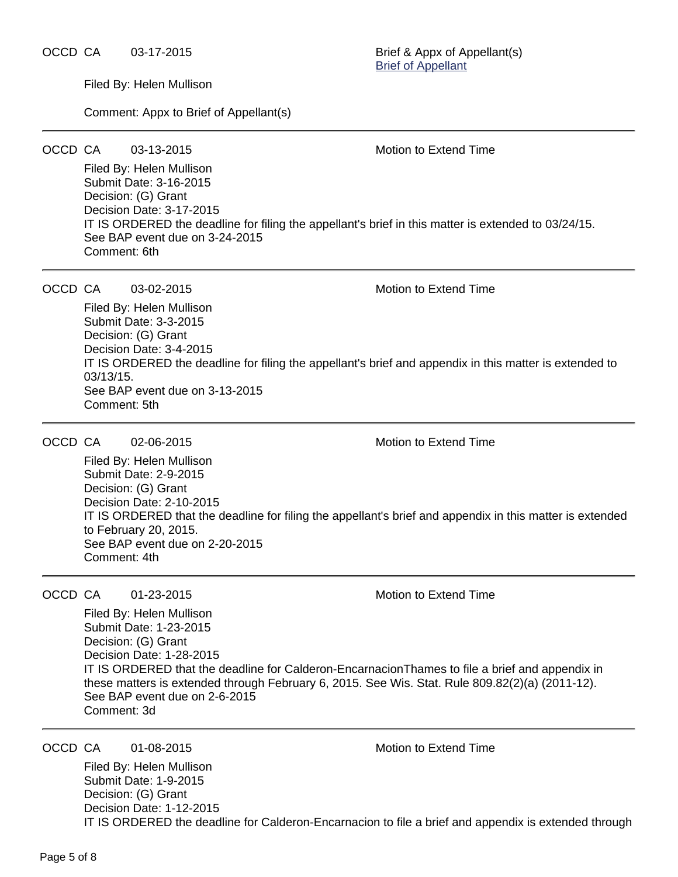OCCD CA 03-17-2015 Brief & Appx of Appellant(s)

[Brief of Appellant](https://acefiling.wicourts.gov/document/eFiled/2014AP002252/138231)

Filed By: Helen Mullison

Comment: Appx to Brief of Appellant(s)

OCCD CA 03-13-2015 Motion to Extend Time

Filed By: Helen Mullison Submit Date: 3-16-2015 Decision: (G) Grant Decision Date: 3-17-2015 IT IS ORDERED the deadline for filing the appellant's brief in this matter is extended to 03/24/15. See BAP event due on 3-24-2015 Comment: 6th

OCCD CA 03-02-2015 Motion to Extend Time

Filed By: Helen Mullison Submit Date: 3-3-2015 Decision: (G) Grant Decision Date: 3-4-2015 IT IS ORDERED the deadline for filing the appellant's brief and appendix in this matter is extended to 03/13/15. See BAP event due on 3-13-2015 Comment: 5th

OCCD CA 02-06-2015 Motion to Extend Time

Filed By: Helen Mullison Submit Date: 2-9-2015 Decision: (G) Grant Decision Date: 2-10-2015 IT IS ORDERED that the deadline for filing the appellant's brief and appendix in this matter is extended to February 20, 2015. See BAP event due on 2-20-2015 Comment: 4th

OCCD CA  $01-23-2015$  Motion to Extend Time

Filed By: Helen Mullison Submit Date: 1-23-2015 Decision: (G) Grant Decision Date: 1-28-2015 IT IS ORDERED that the deadline for Calderon-EncarnacionThames to file a brief and appendix in these matters is extended through February 6, 2015. See Wis. Stat. Rule 809.82(2)(a) (2011-12). See BAP event due on 2-6-2015 Comment: 3d

OCCD CA 01-08-2015 Motion to Extend Time

Filed By: Helen Mullison Submit Date: 1-9-2015 Decision: (G) Grant Decision Date: 1-12-2015 IT IS ORDERED the deadline for Calderon-Encarnacion to file a brief and appendix is extended through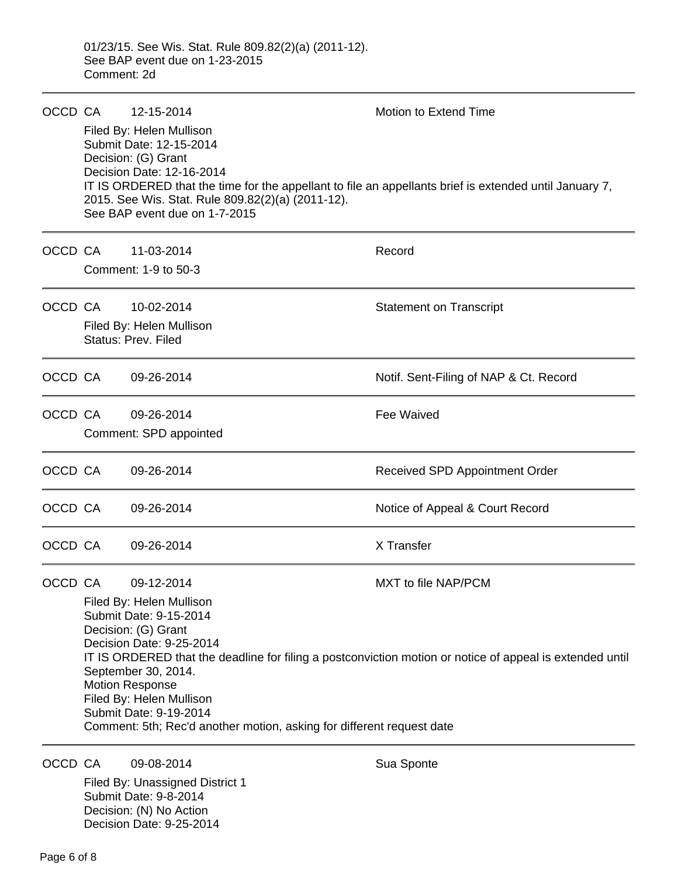| OCCD CA |                                                                                                          | 12-15-2014                                                                                                                                                                                                                | Motion to Extend Time                  |  |  |  |
|---------|----------------------------------------------------------------------------------------------------------|---------------------------------------------------------------------------------------------------------------------------------------------------------------------------------------------------------------------------|----------------------------------------|--|--|--|
|         |                                                                                                          | Filed By: Helen Mullison<br>Submit Date: 12-15-2014<br>Decision: (G) Grant                                                                                                                                                |                                        |  |  |  |
|         |                                                                                                          | Decision Date: 12-16-2014<br>IT IS ORDERED that the time for the appellant to file an appellants brief is extended until January 7,<br>2015. See Wis. Stat. Rule 809.82(2)(a) (2011-12).<br>See BAP event due on 1-7-2015 |                                        |  |  |  |
|         | OCCD CA                                                                                                  | 11-03-2014                                                                                                                                                                                                                | Record                                 |  |  |  |
|         |                                                                                                          | Comment: 1-9 to 50-3                                                                                                                                                                                                      |                                        |  |  |  |
|         | OCCD CA                                                                                                  | 10-02-2014                                                                                                                                                                                                                | <b>Statement on Transcript</b>         |  |  |  |
|         |                                                                                                          | Filed By: Helen Mullison<br>Status: Prev. Filed                                                                                                                                                                           |                                        |  |  |  |
| OCCD CA |                                                                                                          | 09-26-2014                                                                                                                                                                                                                | Notif. Sent-Filing of NAP & Ct. Record |  |  |  |
| OCCD CA |                                                                                                          | 09-26-2014                                                                                                                                                                                                                | Fee Waived                             |  |  |  |
|         |                                                                                                          | Comment: SPD appointed                                                                                                                                                                                                    |                                        |  |  |  |
| OCCD CA |                                                                                                          | 09-26-2014                                                                                                                                                                                                                | Received SPD Appointment Order         |  |  |  |
| OCCD CA |                                                                                                          | 09-26-2014                                                                                                                                                                                                                | Notice of Appeal & Court Record        |  |  |  |
| OCCD CA |                                                                                                          | 09-26-2014                                                                                                                                                                                                                | X Transfer                             |  |  |  |
| OCCD CA |                                                                                                          | 09-12-2014                                                                                                                                                                                                                | MXT to file NAP/PCM                    |  |  |  |
|         | Filed By: Helen Mullison                                                                                 |                                                                                                                                                                                                                           |                                        |  |  |  |
|         | Submit Date: 9-15-2014<br>Decision: (G) Grant                                                            |                                                                                                                                                                                                                           |                                        |  |  |  |
|         | Decision Date: 9-25-2014                                                                                 |                                                                                                                                                                                                                           |                                        |  |  |  |
|         | IT IS ORDERED that the deadline for filing a postconviction motion or notice of appeal is extended until |                                                                                                                                                                                                                           |                                        |  |  |  |
|         | September 30, 2014.<br><b>Motion Response</b>                                                            |                                                                                                                                                                                                                           |                                        |  |  |  |
|         |                                                                                                          | Filed By: Helen Mullison                                                                                                                                                                                                  |                                        |  |  |  |
|         | Submit Date: 9-19-2014                                                                                   |                                                                                                                                                                                                                           |                                        |  |  |  |
|         | Comment: 5th; Rec'd another motion, asking for different request date                                    |                                                                                                                                                                                                                           |                                        |  |  |  |
| OCCD CA |                                                                                                          | 09-08-2014                                                                                                                                                                                                                | Sua Sponte                             |  |  |  |

Filed By: Unassigned District 1 Submit Date: 9-8-2014 Decision: (N) No Action Decision Date: 9-25-2014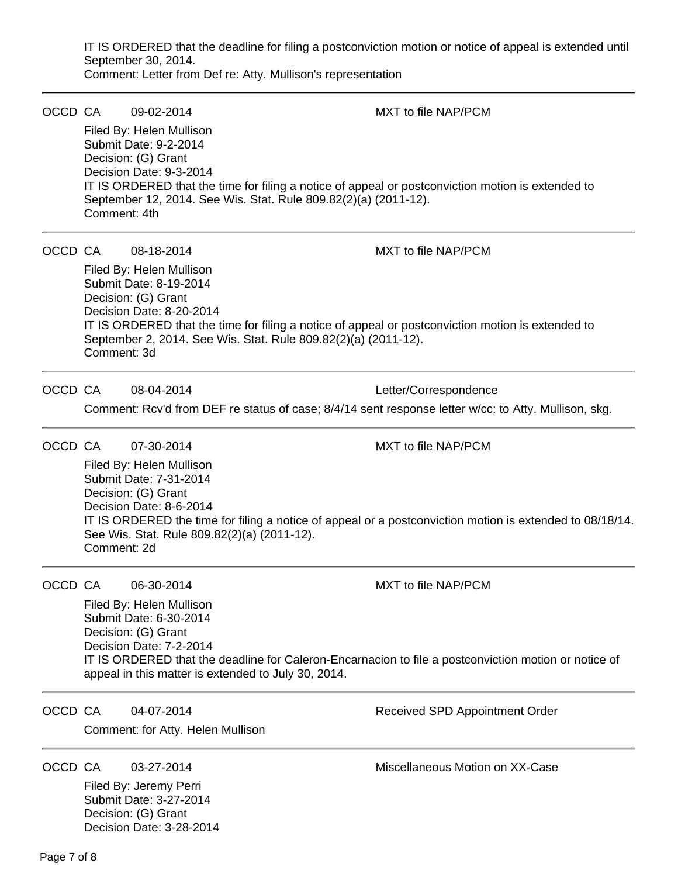IT IS ORDERED that the deadline for filing a postconviction motion or notice of appeal is extended until September 30, 2014.

Comment: Letter from Def re: Atty. Mullison's representation

| OCCD CA |                                                                                                                                                             | 09-02-2014                                                                                                                                                                           | MXT to file NAP/PCM                                                                                      |  |  |  |
|---------|-------------------------------------------------------------------------------------------------------------------------------------------------------------|--------------------------------------------------------------------------------------------------------------------------------------------------------------------------------------|----------------------------------------------------------------------------------------------------------|--|--|--|
|         |                                                                                                                                                             | Filed By: Helen Mullison                                                                                                                                                             |                                                                                                          |  |  |  |
|         |                                                                                                                                                             | Submit Date: 9-2-2014<br>Decision: (G) Grant                                                                                                                                         |                                                                                                          |  |  |  |
|         |                                                                                                                                                             | Decision Date: 9-3-2014                                                                                                                                                              |                                                                                                          |  |  |  |
|         |                                                                                                                                                             | IT IS ORDERED that the time for filing a notice of appeal or postconviction motion is extended to<br>September 12, 2014. See Wis. Stat. Rule 809.82(2)(a) (2011-12).<br>Comment: 4th |                                                                                                          |  |  |  |
| OCCD CA |                                                                                                                                                             | 08-18-2014                                                                                                                                                                           | MXT to file NAP/PCM                                                                                      |  |  |  |
|         |                                                                                                                                                             | Filed By: Helen Mullison<br>Submit Date: 8-19-2014<br>Decision: (G) Grant<br>Decision Date: 8-20-2014                                                                                |                                                                                                          |  |  |  |
|         |                                                                                                                                                             | IT IS ORDERED that the time for filing a notice of appeal or postconviction motion is extended to<br>September 2, 2014. See Wis. Stat. Rule 809.82(2)(a) (2011-12).<br>Comment: 3d   |                                                                                                          |  |  |  |
| OCCD CA |                                                                                                                                                             | 08-04-2014                                                                                                                                                                           | Letter/Correspondence                                                                                    |  |  |  |
|         |                                                                                                                                                             | Comment: Rcv'd from DEF re status of case; 8/4/14 sent response letter w/cc: to Atty. Mullison, skg.                                                                                 |                                                                                                          |  |  |  |
| OCCD CA |                                                                                                                                                             | 07-30-2014                                                                                                                                                                           | MXT to file NAP/PCM                                                                                      |  |  |  |
|         |                                                                                                                                                             | Filed By: Helen Mullison<br>Submit Date: 7-31-2014<br>Decision: (G) Grant<br>Decision Date: 8-6-2014<br>See Wis. Stat. Rule 809.82(2)(a) (2011-12).                                  | IT IS ORDERED the time for filing a notice of appeal or a postconviction motion is extended to 08/18/14. |  |  |  |
|         | Comment: 2d                                                                                                                                                 |                                                                                                                                                                                      |                                                                                                          |  |  |  |
| OCCD CA |                                                                                                                                                             | 06-30-2014                                                                                                                                                                           | MXT to file NAP/PCM                                                                                      |  |  |  |
|         |                                                                                                                                                             | Filed By: Helen Mullison<br>Submit Date: 6-30-2014<br>Decision: (G) Grant<br>Decision Date: 7-2-2014                                                                                 |                                                                                                          |  |  |  |
|         | IT IS ORDERED that the deadline for Caleron-Encarnacion to file a postconviction motion or notice of<br>appeal in this matter is extended to July 30, 2014. |                                                                                                                                                                                      |                                                                                                          |  |  |  |
| OCCD CA |                                                                                                                                                             | 04-07-2014                                                                                                                                                                           | Received SPD Appointment Order                                                                           |  |  |  |
|         |                                                                                                                                                             | Comment: for Atty. Helen Mullison                                                                                                                                                    |                                                                                                          |  |  |  |
| OCCD CA |                                                                                                                                                             | 03-27-2014                                                                                                                                                                           | Miscellaneous Motion on XX-Case                                                                          |  |  |  |
|         |                                                                                                                                                             | Filed By: Jeremy Perri<br>Submit Date: 3-27-2014<br>Decision: (G) Grant<br>Decision Date: 3-28-2014                                                                                  |                                                                                                          |  |  |  |